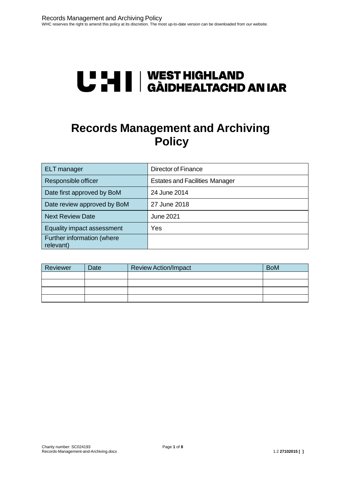# **U "HI | WEST HIGHLAND<br>U THI | GÀIDHEALTACHD AN IAR**

# **Records Management and Archiving Policy**

| ELT manager                             | Director of Finance                   |
|-----------------------------------------|---------------------------------------|
| Responsible officer                     | <b>Estates and Facilities Manager</b> |
| Date first approved by BoM              | 24 June 2014                          |
| Date review approved by BoM             | 27 June 2018                          |
| <b>Next Review Date</b>                 | June 2021                             |
| Equality impact assessment              | Yes                                   |
| Further information (where<br>relevant) |                                       |

| Reviewer | Date | <b>Review Action/Impact</b> | <b>BoM</b> |
|----------|------|-----------------------------|------------|
|          |      |                             |            |
|          |      |                             |            |
|          |      |                             |            |
|          |      |                             |            |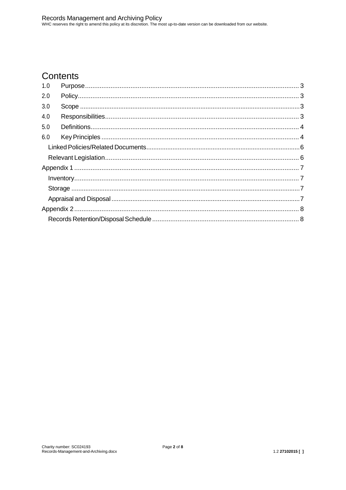# Contents

| 1.0 |  |  |  |  |  |
|-----|--|--|--|--|--|
| 2.0 |  |  |  |  |  |
| 3.0 |  |  |  |  |  |
| 4.0 |  |  |  |  |  |
| 5.0 |  |  |  |  |  |
| 6.0 |  |  |  |  |  |
|     |  |  |  |  |  |
|     |  |  |  |  |  |
|     |  |  |  |  |  |
|     |  |  |  |  |  |
|     |  |  |  |  |  |
|     |  |  |  |  |  |
|     |  |  |  |  |  |
|     |  |  |  |  |  |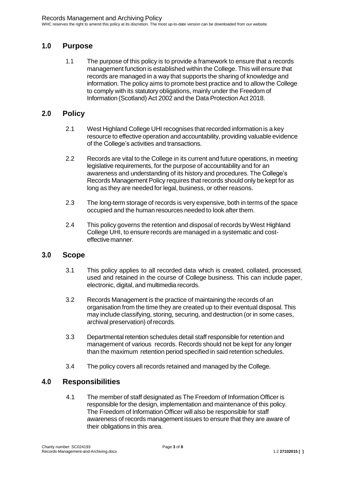# <span id="page-2-0"></span>**1.0 Purpose**

1.1 The purpose of this policy is to provide a framework to ensure that a records management function is established within the College. This will ensure that records are managed in a way that supports the sharing of knowledge and information. The policy aims to promote best practice and to allow the College to comply with its statutory obligations, mainly under the Freedom of Information (Scotland) Act 2002 and the Data Protection Act 2018.

## <span id="page-2-1"></span>**2.0 Policy**

- 2.1 West Highland College UHI recognises that recorded information is a key resource to effective operation and accountability, providing valuable evidence of the College's activities and transactions.
- 2.2 Records are vital to the College in its current and future operations, in meeting legislative requirements, for the purpose of accountability and for an awareness and understanding of its history and procedures. The College's Records Management Policy requires that records should only be kept for as long as they are needed for legal, business, or other reasons.
- 2.3 The long-term storage of records is very expensive, both in terms of the space occupied and the human resources needed to look after them.
- 2.4 This policy governs the retention and disposal of records byWest Highland College UHI, to ensure records are managed in a systematic and costeffectivemanner.

#### <span id="page-2-2"></span>**3.0 Scope**

- 3.1 This policy applies to all recorded data which is created, collated, processed, used and retained in the course of College business. This can include paper, electronic, digital, and multimedia records.
- 3.2 Records Management is the practice of maintaining the records of an organisation from the time they are created up to their eventual disposal. This may include classifying, storing, securing, and destruction (or in some cases, archival preservation) ofrecords.
- 3.3 Departmental retention schedules detail staff responsible for retention and management of various records. Records should not be kept for any longer than the maximum retention period specified in said retention schedules.
- 3.4 The policy covers all records retained and managed by the College.

## <span id="page-2-3"></span>**4.0 Responsibilities**

4.1 The member of staff designated as The Freedom of Information Officer is responsible for the design, implementation and maintenance of this policy. The Freedom of Information Officer will also be responsible for staff awareness of records management issues to ensure that they are aware of their obligations in this area.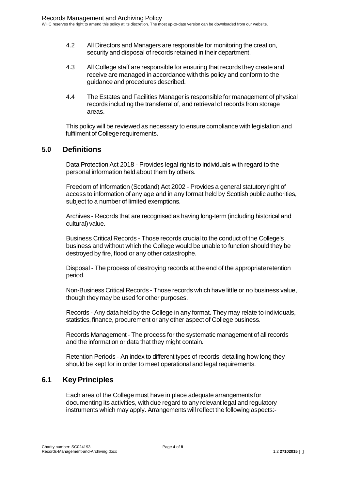- 4.2 All Directors and Managers are responsible for monitoring the creation, security and disposal of records retained in their department.
- 4.3 All College staff are responsible for ensuring that records they create and receive are managed in accordance with this policy and conform to the guidance and procedures described.
- 4.4 The Estates and Facilities Manager is responsible for management of physical records including the transferral of, and retrieval of records from storage areas.

This policy will be reviewed as necessary to ensure compliance with legislation and fulfilment of College requirements.

## <span id="page-3-0"></span>**5.0 Definitions**

Data Protection Act 2018 - Provides legal rights to individuals with regard to the personal information held about them by others.

Freedom of Information (Scotland) Act 2002 - Provides a general statutory right of access to information of any age and in any format held by Scottish public authorities, subject to a number of limited exemptions.

Archives - Records that are recognised as having long-term (including historical and cultural) value.

Business Critical Records - Those records crucial to the conduct of the College's business and without which the College would be unable to function should they be destroyed by fire, flood or any other catastrophe.

Disposal - The process of destroying records at the end of the appropriate retention period.

Non-Business Critical Records - Those records which have little or no business value, though they may be used for other purposes.

Records - Any data held by the College in any format. They may relate to individuals, statistics, finance, procurement or any other aspect of College business.

Records Management - The process for the systematic management of all records and the information or data that they might contain.

Retention Periods - An index to different types of records, detailing how long they should be kept for in order to meet operational and legal requirements.

# <span id="page-3-1"></span>**6.1 KeyPrinciples**

Each area of the College must have in place adequate arrangements for documenting its activities, with due regard to any relevant legal and regulatory instruments which may apply. Arrangements will reflect the following aspects:-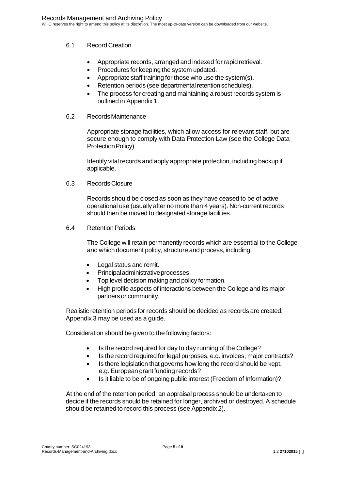#### 6.1 Record Creation

- Appropriate records, arranged and indexed for rapid retrieval.
- Procedures for keeping the system updated.
- Appropriate staff training for those who use the system(s).
- Retention periods (see departmental retention schedules).
- The process for creating and maintaining a robust records system is outlined in Appendix 1.
- 6.2 RecordsMaintenance

Appropriate storage facilities, which allow access for relevant staff, but are secure enough to comply with Data Protection Law (see the College Data Protection Policy).

Identify vital records and apply appropriate protection, including backup if applicable.

6.3 RecordsClosure

Records should be closed as soon as they have ceased to be of active operational use (usually after no more than 4 years). Non-current records should then be moved to designated storage facilities.

6.4 Retention Periods

The College will retain permanently records which are essential to the College and which document policy, structure and process, including:

- Legal status and remit.
- Principaladministrativeprocesses.
- Top level decision making and policy formation.
- High profile aspects of interactions between the College and its major partners or community.

Realistic retention periods for records should be decided as records are created; Appendix 3 may be used as a guide.

Consideration should be given to the following factors:

- Is the record required for day to day running of the College?
- Is the record required for legal purposes, e.g. invoices, major contracts?
- Is there legislation that governs how long the record should be kept, e.g. European grant funding records?
- Is it liable to be of ongoing public interest (Freedom of Information)?

At the end of the retention period, an appraisal process should be undertaken to decide if the records should be retained for longer, archived or destroyed. A schedule should be retained to record this process (see Appendix 2).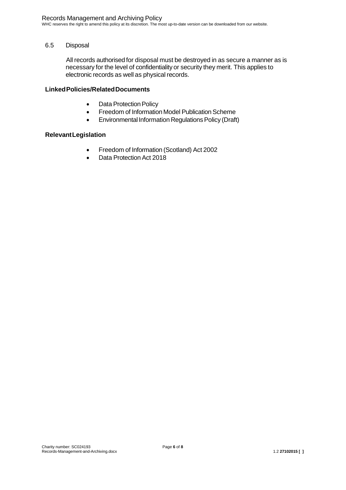WHC reserves the right to amend this policy at its discretion. The most up-to-date version can be downloaded from our website.

#### 6.5 Disposal

All records authorised for disposal must be destroyed in as secure a manner as is necessary for the level of confidentiality or security they merit. This applies to electronic records as well as physical records.

#### <span id="page-5-0"></span>**LinkedPolicies/RelatedDocuments**

- Data Protection Policy
- Freedom of Information Model Publication Scheme
- Environmental Information Regulations Policy (Draft)

#### <span id="page-5-1"></span>**RelevantLegislation**

- Freedom of Information (Scotland) Act 2002
- Data Protection Act 2018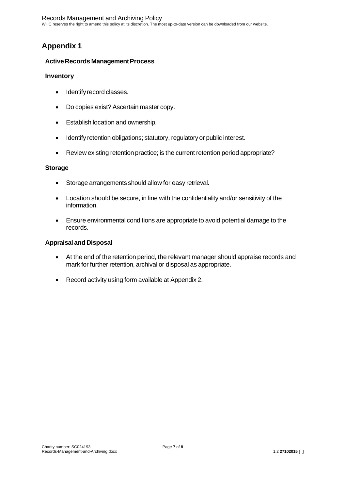# <span id="page-6-0"></span>**Appendix 1**

#### **Active Records Management Process**

#### <span id="page-6-1"></span>**Inventory**

- Identifyrecord classes.
- Do copies exist? Ascertain master copy.
- Establish location and ownership.
- Identify retention obligations; statutory, regulatory or public interest.
- Review existing retention practice; is the current retention period appropriate?

#### <span id="page-6-2"></span>**Storage**

- Storage arrangements should allow for easy retrieval.
- Location should be secure, in line with the confidentiality and/or sensitivity of the information.
- Ensure environmental conditions are appropriate to avoid potential damage to the records.

#### <span id="page-6-3"></span>**Appraisal and Disposal**

- At the end of the retention period, the relevant manager should appraise records and mark for further retention, archival or disposal as appropriate.
- Record activity using form available at Appendix 2.